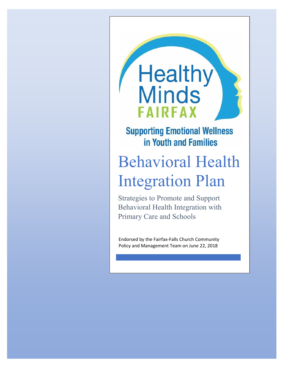# **Healthy**<br>Minds **FAIRFAX**

### **Supporting Emotional Wellness** in Youth and Families

## Behavioral Health Integration Plan

Strategies to Promote and Support Behavioral Health Integration with Primary Care and Schools

Endorsed by the Fairfax-Falls Church Community Policy and Management Team on June 22, 2018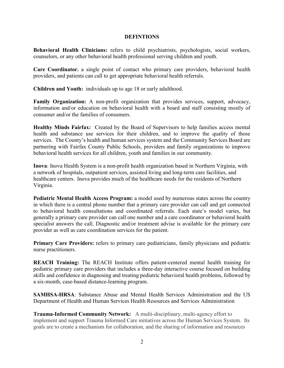#### **DEFINTIONS**

**Behavioral Health Clinicians:** refers to child psychiatrists, psychologists, social workers, counselors, or any other behavioral health professional serving children and youth.

**Care Coordinator.** a single point of contact who primary care providers, behavioral health providers, and patients can call to get appropriate behavioral health referrals.

**Children and Youth:** individuals up to age 18 or early adulthood.

**Family Organization:** A non-profit organization that provides services, support, advocacy, information and/or education on behavioral health with a board and staff consisting mostly of consumer and/or the families of consumers.

**Healthy Minds Fairfax:** Created by the Board of Supervisors to help families access mental health and substance use services for their children, and to improve the quality of those services. The County's health and human services system and the Community Services Board are partnering with Fairfax County Public Schools, providers and family organizations to improve behavioral health services for all children, youth and families in our community.

**Inova**: Inova Health System is a [non-profit](https://en.wikipedia.org/wiki/Non-profit) health organization based in [Northern Virginia,](https://en.wikipedia.org/wiki/Falls_Church,_Virginia) with a network of [hospitals,](https://en.wikipedia.org/wiki/Hospital) outpatient services, assisted living and [long-term care](https://en.wikipedia.org/wiki/Nursing_home) facilities, and healthcare centers. Inova provides much of the healthcare needs for the residents of Northern Virginia.

**Pediatric Mental Health Access Program:** a model used by numerous states across the country in which there is a central phone number that a primary care provider can call and get connected to behavioral health consultations and coordinated referrals. Each state's model varies, but generally a primary care provider can call one number and a care coordinator or behavioral health specialist answers the call. Diagnostic and/or treatment advise is available for the primary care provider as well as care coordination services for the patient.

**Primary Care Providers:** refers to primary care pediatricians, family physicians and pediatric nurse practitioners.

**REACH Training:** The REACH Institute offers patient-centered mental health training for pediatric primary care providers that includes a three-day interactive course focused on building skills and confidence in diagnosing and treating pediatric behavioral health problems, followed by a six-month, case-based distance-learning program.

**SAMHSA-HRSA**: Substance Abuse and Mental Health Services Administration and the US Department of Health and Human Services Health Resources and Services Administration

**Trauma-Informed Community Network:** A multi-disciplinary, multi-agency effort to implement and support Trauma Informed Care initiatives across the Human Services System. Its goals are to create a mechanism for collaboration, and the sharing of information and resources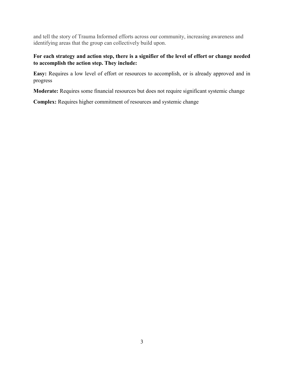and tell the story of Trauma Informed efforts across our community, increasing awareness and identifying areas that the group can collectively build upon.

#### **For each strategy and action step, there is a signifier of the level of effort or change needed to accomplish the action step. They include:**

**Easy:** Requires a low level of effort or resources to accomplish, or is already approved and in progress

**Moderate:** Requires some financial resources but does not require significant systemic change

**Complex:** Requires higher commitment of resources and systemic change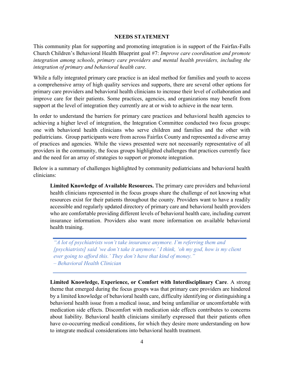#### **NEEDS STATEMENT**

This community plan for supporting and promoting integration is in support of the Fairfax-Falls Church Children's Behavioral Health Blueprint goal #7: *Improve care coordination and promote integration among schools, primary care providers and mental health providers, including the integration of primary and behavioral health care*.

While a fully integrated primary care practice is an ideal method for families and youth to access a comprehensive array of high quality services and supports, there are several other options for primary care providers and behavioral health clinicians to increase their level of collaboration and improve care for their patients. Some practices, agencies, and organizations may benefit from support at the level of integration they currently are at or wish to achieve in the near term.

In order to understand the barriers for primary care practices and behavioral health agencies to achieving a higher level of integration, the Integration Committee conducted two focus groups: one with behavioral health clinicians who serve children and families and the other with pediatricians. Group participants were from across Fairfax County and represented a diverse array of practices and agencies. While the views presented were not necessarily representative of all providers in the community, the focus groups highlighted challenges that practices currently face and the need for an array of strategies to support or promote integration.

Below is a summary of challenges highlighted by community pediatricians and behavioral health clinicians:

**Limited Knowledge of Available Resources.** The primary care providers and behavioral health clinicians represented in the focus groups share the challenge of not knowing what resources exist for their patients throughout the county. Providers want to have a readily accessible and regularly updated directory of primary care and behavioral health providers who are comfortable providing different levels of behavioral health care, including current insurance information. Providers also want more information on available behavioral health training.

*"A lot of psychiatrists won't take insurance anymore. I'm referring them and [psychiatrists] said 'we don't take it anymore.' I think, 'oh my god, how is my client ever going to afford this.' They don't have that kind of money." – Behavioral Health Clinician*

**Limited Knowledge, Experience, or Comfort with Interdisciplinary Care**. A strong theme that emerged during the focus groups was that primary care providers are hindered by a limited knowledge of behavioral health care, difficulty identifying or distinguishing a behavioral health issue from a medical issue, and being unfamiliar or uncomfortable with medication side effects. Discomfort with medication side effects contributes to concerns about liability. Behavioral health clinicians similarly expressed that their patients often have co-occurring medical conditions, for which they desire more understanding on how to integrate medical considerations into behavioral health treatment.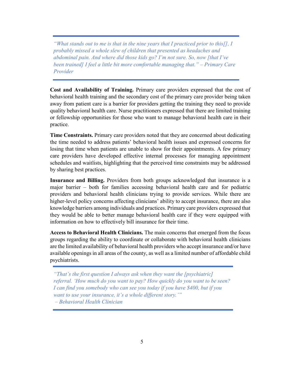*"What stands out to me is that in the nine years that I practiced prior to this[], I probably missed a whole slew of children that presented as headaches and abdominal pain. And where did those kids go? I'm not sure. So, now [that I've been trained] I feel a little bit more comfortable managing that." – Primary Care Provider*

**Cost and Availability of Training.** Primary care providers expressed that the cost of behavioral health training and the secondary cost of the primary care provider being taken away from patient care is a barrier for providers getting the training they need to provide quality behavioral health care. Nurse practitioners expressed that there are limited training or fellowship opportunities for those who want to manage behavioral health care in their practice.

**Time Constraints.** Primary care providers noted that they are concerned about dedicating the time needed to address patients' behavioral health issues and expressed concerns for losing that time when patients are unable to show for their appointments. A few primary care providers have developed effective internal processes for managing appointment schedules and waitlists, highlighting that the perceived time constraints may be addressed by sharing best practices.

**Insurance and Billing.** Providers from both groups acknowledged that insurance is a major barrier – both for families accessing behavioral health care and for pediatric providers and behavioral health clinicians trying to provide services. While there are higher-level policy concerns affecting clinicians' ability to accept insurance, there are also knowledge barriers among individuals and practices. Primary care providers expressed that they would be able to better manage behavioral health care if they were equipped with information on how to effectively bill insurance for their time.

**Access to Behavioral Health Clinicians.** The main concerns that emerged from the focus groups regarding the ability to coordinate or collaborate with behavioral health clinicians are the limited availability of behavioral health providers who accept insurance and/or have available openings in all areas of the county, as well as a limited number of affordable child psychiatrists.

*"That's the first question I always ask when they want the [psychiatric] referral. 'How much do you want to pay? How quickly do you want to be seen? I can find you somebody who can see you today if you have \$400, but if you want to use your insurance, it's a whole different story.'" – Behavioral Health Clinician*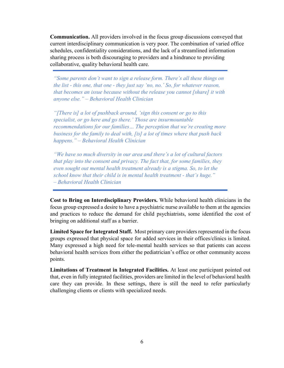**Communication.** All providers involved in the focus group discussions conveyed that current interdisciplinary communication is very poor. The combination of varied office schedules, confidentiality considerations, and the lack of a streamlined information sharing process is both discouraging to providers and a hindrance to providing collaborative, quality behavioral health care.

*"Some parents don't want to sign a release form. There's all these things on the list - this one, that one - they just say 'no, no.' So, for whatever reason, that becomes an issue because without the release you cannot [share] it with anyone else." – Behavioral Health Clinician*

*"[There is] a lot of pushback around, 'sign this consent or go to this specialist, or go here and go there.' Those are insurmountable recommendations for our families… The perception that we're creating more business for the family to deal with, [is] a lot of times where that push back happens." – Behavioral Health Clinician*

*"We have so much diversity in our area and there's a lot of cultural factors that play into the consent and privacy. The fact that, for some families, they even sought out mental health treatment already is a stigma. So, to let the school know that their child is in mental health treatment - that's huge." – Behavioral Health Clinician*

**Cost to Bring on Interdisciplinary Providers.** While behavioral health clinicians in the focus group expressed a desire to have a psychiatric nurse available to them at the agencies and practices to reduce the demand for child psychiatrists, some identified the cost of bringing on additional staff as a barrier.

**Limited Space for Integrated Staff.** Most primary care providers represented in the focus groups expressed that physical space for added services in their offices/clinics is limited. Many expressed a high need for tele-mental health services so that patients can access behavioral health services from either the pediatrician's office or other community access points.

**Limitations of Treatment in Integrated Facilities.** At least one participant pointed out that, even in fully integrated facilities, providers are limited in the level of behavioral health care they can provide. In these settings, there is still the need to refer particularly challenging clients or clients with specialized needs.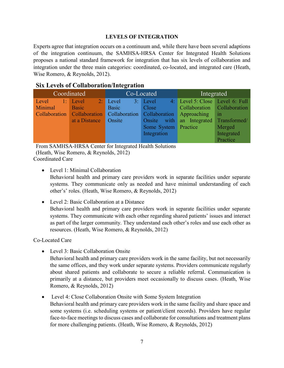#### **LEVELS OF INTEGRATION**

Experts agree that integration occurs on a continuum and, while there have been several adaptions of the integration continuum, the SAMHSA-HRSA Center for Integrated Health Solutions proposes a national standard framework for integration that has six levels of collaboration and integration under the three main categories: coordinated, co-located, and integrated care (Heath, Wise Romero, & Reynolds, 2012).

#### **Six Levels of Collaboration/Integration**

| Coordinated |                         |            | Co-Located                                              | Integrated                      |               |
|-------------|-------------------------|------------|---------------------------------------------------------|---------------------------------|---------------|
| Level       | $\blacksquare$ 1: Level | $2:$ Level | 3: Level                                                | 4: Level 5: Close Level 6: Full |               |
| Minimal     | Basic                   | Basic      | Close                                                   | Collaboration Collaboration     |               |
|             |                         |            | Collaboration Collaboration Collaboration Collaboration | Approaching                     | $\mathbf{in}$ |
|             | at a Distance           | Onsite     | Onsite with                                             | an Integrated                   | Transformed/  |
|             |                         |            | Some System Practice                                    |                                 | Merged        |
|             |                         |            | Integration                                             |                                 | Integrated    |
|             |                         |            |                                                         |                                 | Practice      |

From SAMHSA-HRSA Center for Integrated Health Solutions (Heath, Wise Romero, & Reynolds, 2012)

Coordinated Care

- Level 1: Minimal Collaboration Behavioral health and primary care providers work in separate facilities under separate systems. They communicate only as needed and have minimal understanding of each other's' roles. (Heath, Wise Romero, & Reynolds, 2012)
- Level 2: Basic Collaboration at a Distance Behavioral health and primary care providers work in separate facilities under separate systems. They communicate with each other regarding shared patients' issues and interact as part of the larger community. They understand each other's roles and use each other as resources. (Heath, Wise Romero, & Reynolds, 2012)

Co-Located Care

- Level 3: Basic Collaboration Onsite
	- Behavioral health and primary care providers work in the same facility, but not necessarily the same offices, and they work under separate systems. Providers communicate regularly about shared patients and collaborate to secure a reliable referral. Communication is primarily at a distance, but providers meet occasionally to discuss cases. (Heath, Wise Romero, & Reynolds, 2012)
- Level 4: Close Collaboration Onsite with Some System Integration Behavioral health and primary care providers work in the same facility and share space and some systems (i.e. scheduling systems or patient/client records). Providers have regular face-to-face meetings to discuss cases and collaborate for consultations and treatment plans for more challenging patients. (Heath, Wise Romero, & Reynolds, 2012)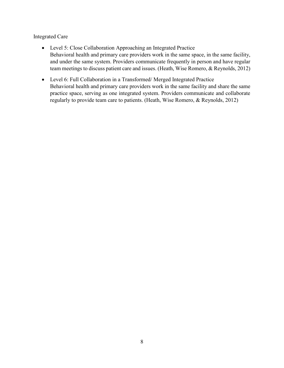Integrated Care

- Level 5: Close Collaboration Approaching an Integrated Practice Behavioral health and primary care providers work in the same space, in the same facility, and under the same system. Providers communicate frequently in person and have regular team meetings to discuss patient care and issues. (Heath, Wise Romero, & Reynolds, 2012)
- Level 6: Full Collaboration in a Transformed/Merged Integrated Practice Behavioral health and primary care providers work in the same facility and share the same practice space, serving as one integrated system. Providers communicate and collaborate regularly to provide team care to patients. (Heath, Wise Romero, & Reynolds, 2012)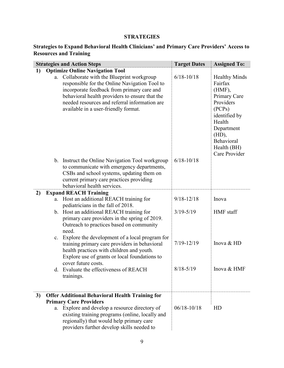#### **STRATEGIES**

#### **Strategies to Expand Behavioral Health Clinicians' and Primary Care Providers' Access to Resources and Training**

|    |    | <b>Strategies and Action Steps</b>                                                                                                                                                                                                                                                                                           | <b>Target Dates</b> | <b>Assigned To:</b>                                                                                                                                                                 |
|----|----|------------------------------------------------------------------------------------------------------------------------------------------------------------------------------------------------------------------------------------------------------------------------------------------------------------------------------|---------------------|-------------------------------------------------------------------------------------------------------------------------------------------------------------------------------------|
| 1) | a. | <b>Optimize Online Navigation Tool</b><br>Collaborate with the Blueprint workgroup<br>responsible for the Online Navigation Tool to<br>incorporate feedback from primary care and<br>behavioral health providers to ensure that the<br>needed resources and referral information are<br>available in a user-friendly format. | $6/18 - 10/18$      | <b>Healthy Minds</b><br>Fairfax<br>$(HMF)$ ,<br>Primary Care<br>Providers<br>(PCPs)<br>identified by<br>Health<br>Department<br>(HD),<br>Behavioral<br>Health (BH)<br>Care Provider |
|    |    | b. Instruct the Online Navigation Tool workgroup<br>to communicate with emergency departments,<br>CSBs and school systems, updating them on<br>current primary care practices providing<br>behavioral health services.                                                                                                       | $6/18 - 10/18$      |                                                                                                                                                                                     |
| 2) |    | <b>Expand REACH Training</b>                                                                                                                                                                                                                                                                                                 |                     |                                                                                                                                                                                     |
|    | a. | Host an additional REACH training for<br>pediatricians in the fall of 2018.                                                                                                                                                                                                                                                  | $9/18 - 12/18$      | Inova                                                                                                                                                                               |
|    |    | b. Host an additional REACH training for<br>primary care providers in the spring of 2019.<br>Outreach to practices based on community<br>need.                                                                                                                                                                               | $3/19 - 5/19$       | HMF staff                                                                                                                                                                           |
|    | c. | Explore the development of a local program for<br>training primary care providers in behavioral<br>health practices with children and youth.<br>Explore use of grants or local foundations to                                                                                                                                | $7/19 - 12/19$      | Inova & HD                                                                                                                                                                          |
|    |    | cover future costs.<br>d. Evaluate the effectiveness of REACH<br>trainings.                                                                                                                                                                                                                                                  | $8/18 - 5/19$       | Inova & HMF                                                                                                                                                                         |
| 3) |    | <b>Offer Additional Behavioral Health Training for</b>                                                                                                                                                                                                                                                                       |                     |                                                                                                                                                                                     |
|    | a. | <b>Primary Care Providers</b><br>Explore and develop a resource directory of<br>existing training programs (online, locally and<br>regionally) that would help primary care<br>providers further develop skills needed to                                                                                                    | $06/18 - 10/18$     | HD                                                                                                                                                                                  |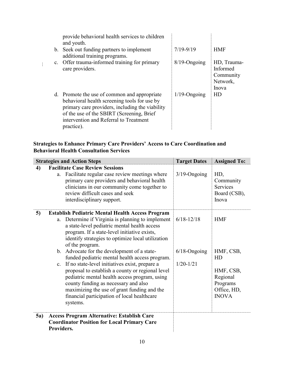| provide behavioral health services to children<br>and youth.                                                                                                                                                                                         |                 |                                                           |
|------------------------------------------------------------------------------------------------------------------------------------------------------------------------------------------------------------------------------------------------------|-----------------|-----------------------------------------------------------|
| b. Seek out funding partners to implement<br>additional training programs.                                                                                                                                                                           | $7/19 - 9/19$   | <b>HMF</b>                                                |
| c. Offer trauma-informed training for primary<br>care providers.                                                                                                                                                                                     | $8/19$ -Ongoing | HD, Trauma-<br>Informed<br>Community<br>Network,<br>Inova |
| d. Promote the use of common and appropriate<br>behavioral health screening tools for use by<br>primary care providers, including the viability<br>of the use of the SBIRT (Screening, Brief<br>intervention and Referral to Treatment<br>practice). | $1/19$ -Ongoing | HD                                                        |

#### **Strategies to Enhance Primary Care Providers' Access to Care Coordination and Behavioral Health Consultation Services**

 $\mathbb{R}^+$ 

|             | <b>Strategies and Action Steps</b>                                                                                                                                                                                                                                                                                                                                                                                                                                                                                                                                                                                                                                                                   | <b>Target Dates</b>                                | <b>Assigned To:</b>                                                                               |
|-------------|------------------------------------------------------------------------------------------------------------------------------------------------------------------------------------------------------------------------------------------------------------------------------------------------------------------------------------------------------------------------------------------------------------------------------------------------------------------------------------------------------------------------------------------------------------------------------------------------------------------------------------------------------------------------------------------------------|----------------------------------------------------|---------------------------------------------------------------------------------------------------|
| 4)          | <b>Facilitate Case Review Sessions</b><br>Facilitate regular case review meetings where<br>a.<br>primary care providers and behavioral health<br>clinicians in our community come together to<br>review difficult cases and seek<br>interdisciplinary support.                                                                                                                                                                                                                                                                                                                                                                                                                                       | $3/19$ -Ongoing                                    | HD,<br>Community<br><b>Services</b><br>Board (CSB),<br>Inova                                      |
| 5)          | <b>Establish Pediatric Mental Health Access Program</b><br>Determine if Virginia is planning to implement<br>a.<br>a state-level pediatric mental health access<br>program. If a state-level initiative exists,<br>identify strategies to optimize local utilization<br>of the program.<br>b. Advocate for the development of a state-<br>funded pediatric mental health access program.<br>c. If no state-level initiatives exist, prepare a<br>proposal to establish a county or regional level<br>pediatric mental health access program, using<br>county funding as necessary and also<br>maximizing the use of grant funding and the<br>financial participation of local healthcare<br>systems. | $6/18 - 12/18$<br>$6/18$ -Ongoing<br>$1/20 - 1/21$ | <b>HMF</b><br>HMF, CSB,<br>HD<br>HMF, CSB,<br>Regional<br>Programs<br>Office, HD,<br><b>INOVA</b> |
| <b>5a</b> ) | <b>Access Program Alternative: Establish Care</b><br><b>Coordinator Position for Local Primary Care</b><br>Providers.                                                                                                                                                                                                                                                                                                                                                                                                                                                                                                                                                                                |                                                    |                                                                                                   |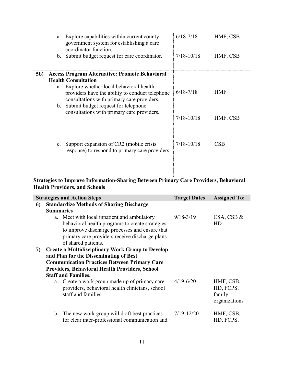|            | a.          | Explore capabilities within current county<br>government system for establishing a care<br>coordinator function.<br>b. Submit budget request for care coordinator.                                                                                                | $6/18 - 7/18$<br>$7/18 - 10/18$ | HMF, CSB<br>HMF, CSB   |
|------------|-------------|-------------------------------------------------------------------------------------------------------------------------------------------------------------------------------------------------------------------------------------------------------------------|---------------------------------|------------------------|
| <b>5b)</b> |             | <b>Access Program Alternative: Promote Behavioral</b>                                                                                                                                                                                                             |                                 |                        |
|            |             | <b>Health Consultation</b><br>a. Explore whether local behavioral health<br>providers have the ability to conduct telephone<br>consultations with primary care providers.<br>b. Submit budget request for telephone<br>consultations with primary care providers. | $6/18 - 7/18$<br>$7/18 - 10/18$ | <b>HMF</b><br>HMF, CSB |
|            | $c_{\cdot}$ | Support expansion of CR2 (mobile crisis<br>response) to respond to primary care providers.                                                                                                                                                                        | $7/18 - 10/18$                  | CSB                    |

#### **Strategies to Improve Information-Sharing Between Primary Care Providers, Behavioral Health Providers, and Schools**

|    |                  | <b>Strategies and Action Steps</b>                                                                                       | <b>Target Dates</b> | <b>Assigned To:</b>                               |
|----|------------------|--------------------------------------------------------------------------------------------------------------------------|---------------------|---------------------------------------------------|
| 6  |                  | <b>Standardize Methods of Sharing Discharge</b>                                                                          |                     |                                                   |
|    | <b>Summaries</b> |                                                                                                                          |                     |                                                   |
|    |                  | a. Meet with local inpatient and ambulatory                                                                              | $9/18 - 3/19$       | $CSA, CSB$ &                                      |
|    |                  | behavioral health programs to create strategies                                                                          |                     | HD                                                |
|    |                  | to improve discharge processes and ensure that                                                                           |                     |                                                   |
|    |                  | primary care providers receive discharge plans                                                                           |                     |                                                   |
|    |                  | of shared patients.                                                                                                      |                     |                                                   |
| 7) |                  | <b>Create a Multidisciplinary Work Group to Develop</b>                                                                  |                     |                                                   |
|    |                  | and Plan for the Disseminating of Best                                                                                   |                     |                                                   |
|    |                  | <b>Communication Practices Between Primary Care</b>                                                                      |                     |                                                   |
|    |                  | <b>Providers, Behavioral Health Providers, School</b>                                                                    |                     |                                                   |
|    |                  | <b>Staff and Families.</b>                                                                                               |                     |                                                   |
|    |                  | a. Create a work group made up of primary care<br>providers, behavioral health clinicians, school<br>staff and families. | $4/19 - 6/20$       | HMF, CSB,<br>HD, FCPS,<br>family<br>organizations |
|    |                  | b. The new work group will draft best practices<br>for clear inter-professional communication and                        | $7/19 - 12/20$      | HMF, CSB,<br>HD, FCPS,                            |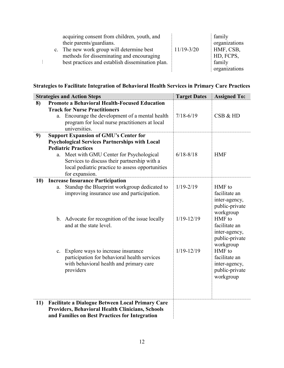|  | acquiring consent from children, youth, and      |                | family        |
|--|--------------------------------------------------|----------------|---------------|
|  | their parents/guardians.                         |                | organizations |
|  | c. The new work group will determine best        | $11/19 - 3/20$ | HMF, CSB,     |
|  | methods for disseminating and encouraging        |                | HD, FCPS,     |
|  | best practices and establish dissemination plan. |                | family        |
|  |                                                  |                | organizations |

#### **Strategies to Facilitate Integration of Behavioral Health Services in Primary Care Practices**

|           |    | <b>Strategies and Action Steps</b>                      | <b>Target Dates</b> | <b>Assigned To:</b>             |
|-----------|----|---------------------------------------------------------|---------------------|---------------------------------|
| 8)        |    | <b>Promote a Behavioral Health-Focused Education</b>    |                     |                                 |
|           |    | <b>Track for Nurse Practitioners</b>                    |                     |                                 |
|           |    | a. Encourage the development of a mental health         | $7/18 - 6/19$       | CSB & HD                        |
|           |    | program for local nurse practitioners at local          |                     |                                 |
|           |    | universities.                                           |                     |                                 |
| 9)        |    | <b>Support Expansion of GMU's Center for</b>            |                     |                                 |
|           |    | <b>Psychological Services Partnerships with Local</b>   |                     |                                 |
|           |    | <b>Pediatric Practices</b>                              |                     |                                 |
|           | a. | Meet with GMU Center for Psychological                  | $6/18 - 8/18$       | <b>HMF</b>                      |
|           |    | Services to discuss their partnership with a            |                     |                                 |
|           |    | local pediatric practice to assess opportunities        |                     |                                 |
|           |    | for expansion.                                          |                     |                                 |
| <b>10</b> |    | <b>Increase Insurance Participation</b>                 | $1/19 - 2/19$       | HMF to                          |
|           | a. | Standup the Blueprint workgroup dedicated to            |                     | facilitate an                   |
|           |    | improving insurance use and participation.              |                     |                                 |
|           |    |                                                         |                     | inter-agency,<br>public-private |
|           |    |                                                         |                     | workgroup                       |
|           |    | b. Advocate for recognition of the issue locally        | $1/19 - 12/19$      | HMF to                          |
|           |    | and at the state level.                                 |                     | facilitate an                   |
|           |    |                                                         |                     | inter-agency,                   |
|           |    |                                                         |                     | public-private                  |
|           |    |                                                         |                     | workgroup                       |
|           |    | c. Explore ways to increase insurance                   | $1/19 - 12/19$      | HMF to                          |
|           |    | participation for behavioral health services            |                     | facilitate an                   |
|           |    | with behavioral health and primary care                 |                     | inter-agency,                   |
|           |    | providers                                               |                     | public-private                  |
|           |    |                                                         |                     | workgroup                       |
|           |    |                                                         |                     |                                 |
|           |    |                                                         |                     |                                 |
|           |    |                                                         |                     |                                 |
| 11)       |    | <b>Facilitate a Dialogue Between Local Primary Care</b> |                     |                                 |
|           |    | <b>Providers, Behavioral Health Clinicians, Schools</b> |                     |                                 |
|           |    | and Families on Best Practices for Integration          |                     |                                 |